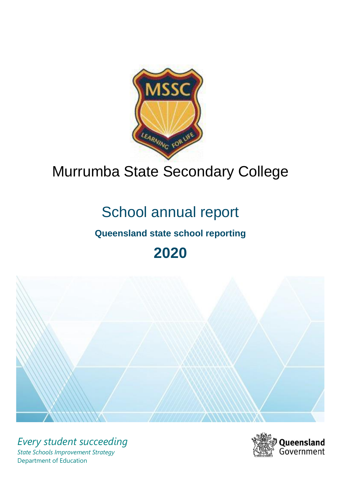

# Murrumba State Secondary College

# School annual report

# **Queensland state school reporting**

**2020**



*Every student succeeding State Schools Improvement Strategy* Department of Education

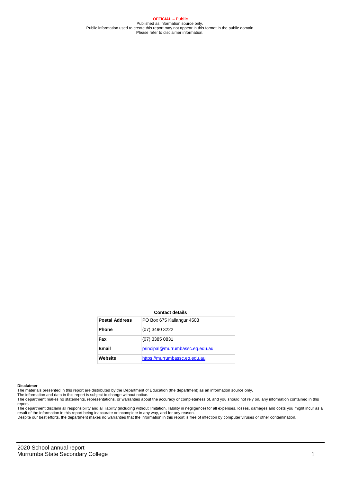**OFFICIAL – Public** Published as information source only. Public information used to create this report may not appear in this format in the public domain Please refer to disclaimer information.

#### **Contact details**

| <b>Postal Address</b> | PO Box 675 Kallangur 4503       |
|-----------------------|---------------------------------|
| <b>Phone</b>          | (07) 3490 3222                  |
| Fax                   | (07) 3385 0831                  |
| Email                 | principal@murrumbassc.eq.edu.au |
| Website               | https://murrumbassc.eq.edu.au   |

#### **Disclaimer**

The materials presented in this report are distributed by the Department of Education (the department) as an information source only. The information and data in this report is subject to change without notice.

The department makes no statements, representations, or warranties about the accuracy or completeness of, and you should not rely on, any information contained in this report.

The department disclaim all responsibility and all liability (including without limitation, liability in negligence) for all expenses, losses, damages and costs you might incur as a<br>result of the information in this report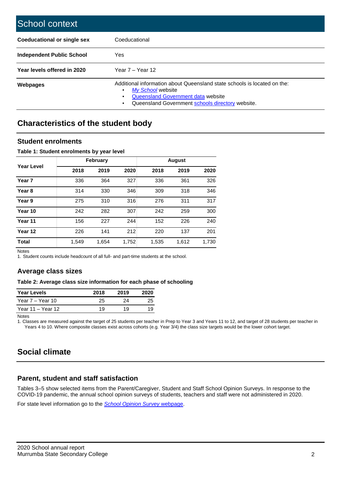| School context                   |                                                                                                                                                                                              |
|----------------------------------|----------------------------------------------------------------------------------------------------------------------------------------------------------------------------------------------|
| Coeducational or single sex      | Coeducational                                                                                                                                                                                |
| <b>Independent Public School</b> | Yes                                                                                                                                                                                          |
| Year levels offered in 2020      | Year $7 -$ Year 12                                                                                                                                                                           |
| Webpages                         | Additional information about Queensland state schools is located on the:<br>My School website<br>٠<br>Queensland Government data website<br>Queensland Government schools directory website. |

## **Characteristics of the student body**

#### **Student enrolments**

#### **Table 1: Student enrolments by year level**

|                   |       | <b>February</b> |       | <b>August</b> |       |       |  |
|-------------------|-------|-----------------|-------|---------------|-------|-------|--|
| <b>Year Level</b> | 2018  | 2019            | 2020  | 2018          | 2019  | 2020  |  |
| Year <sub>7</sub> | 336   | 364             | 327   | 336           | 361   | 326   |  |
| Year <sub>8</sub> | 314   | 330             | 346   | 309           | 318   | 346   |  |
| Year 9            | 275   | 310             | 316   | 276           | 311   | 317   |  |
| Year 10           | 242   | 282             | 307   | 242           | 259   | 300   |  |
| Year 11           | 156   | 227             | 244   | 152           | 226   | 240   |  |
| Year 12           | 226   | 141             | 212   | 220           | 137   | 201   |  |
| <b>Total</b>      | 1,549 | 1,654           | 1,752 | 1,535         | 1,612 | 1,730 |  |

Notes

1. Student counts include headcount of all full- and part-time students at the school.

### **Average class sizes**

#### **Table 2: Average class size information for each phase of schooling**

| <b>Year Levels</b> | 2018 | 2019 | 2020 |
|--------------------|------|------|------|
| Year 7 – Year 10   | 25   | 24   | 25   |
| Year 11 – Year 12  | 19   | 19   | 19   |

Notes

1. Classes are measured against the target of 25 students per teacher in Prep to Year 3 and Years 11 to 12, and target of 28 students per teacher in Years 4 to 10. Where composite classes exist across cohorts (e.g. Year 3/4) the class size targets would be the lower cohort target.

## **Social climate**

### **Parent, student and staff satisfaction**

Tables 3–5 show selected items from the Parent/Caregiver, Student and Staff School Opinion Surveys. In response to the COVID-19 pandemic, the annual school opinion surveys of students, teachers and staff were not administered in 2020.

For state level information go to the *[School Opinion Survey](https://qed.qld.gov.au/publications/reports/statistics/schooling/schools/schoolopinionsurvey)* [webpage.](https://qed.qld.gov.au/publications/reports/statistics/schooling/schools/schoolopinionsurvey)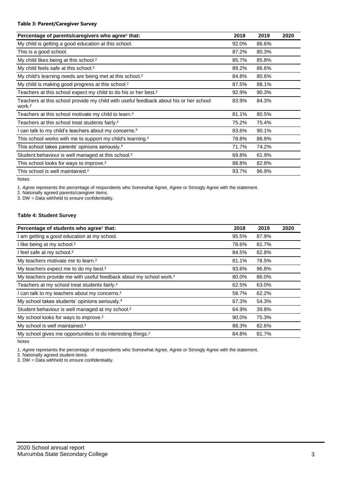#### **Table 3: Parent/Caregiver Survey**

| Percentage of parents/caregivers who agree <sup>1</sup> that:                                               | 2018  | 2019  | 2020 |
|-------------------------------------------------------------------------------------------------------------|-------|-------|------|
| My child is getting a good education at this school.                                                        | 92.0% | 86.6% |      |
| This is a good school.                                                                                      | 87.2% | 80.3% |      |
| My child likes being at this school. <sup>2</sup>                                                           | 85.7% | 85.8% |      |
| My child feels safe at this school. <sup>2</sup>                                                            | 89.2% | 86.6% |      |
| My child's learning needs are being met at this school. <sup>2</sup>                                        | 84.8% | 80.6% |      |
| My child is making good progress at this school. <sup>2</sup>                                               | 87.5% | 88.1% |      |
| Teachers at this school expect my child to do his or her best. <sup>2</sup>                                 | 92.9% | 90.3% |      |
| Teachers at this school provide my child with useful feedback about his or her school<br>work. <sup>2</sup> | 83.9% | 84.3% |      |
| Teachers at this school motivate my child to learn. <sup>2</sup>                                            | 81.1% | 80.5% |      |
| Teachers at this school treat students fairly. <sup>2</sup>                                                 | 75.2% | 75.4% |      |
| I can talk to my child's teachers about my concerns. <sup>2</sup>                                           | 83.6% | 90.1% |      |
| This school works with me to support my child's learning. <sup>2</sup>                                      | 78.8% | 86.8% |      |
| This school takes parents' opinions seriously. <sup>2</sup>                                                 | 71.7% | 74.2% |      |
| Student behaviour is well managed at this school. <sup>2</sup>                                              | 69.8% | 61.9% |      |
| This school looks for ways to improve. <sup>2</sup>                                                         | 88.8% | 82.8% |      |
| This school is well maintained. <sup>2</sup>                                                                | 93.7% | 96.9% |      |

Notes

1. *Agree* represents the percentage of respondents who Somewhat Agree, Agree or Strongly Agree with the statement.

2. Nationally agreed parents/caregiver items.

3. DW = Data withheld to ensure confidentiality.

#### **Table 4: Student Survey**

| Percentage of students who agree <sup>1</sup> that:                            | 2018  | 2019  | 2020 |
|--------------------------------------------------------------------------------|-------|-------|------|
| I am getting a good education at my school.                                    | 95.5% | 87.9% |      |
| I like being at my school. <sup>2</sup>                                        | 78.6% | 81.7% |      |
| I feel safe at my school. <sup>2</sup>                                         | 84.5% | 82.8% |      |
| My teachers motivate me to learn. <sup>2</sup>                                 | 81.1% | 78.5% |      |
| My teachers expect me to do my best. <sup>2</sup>                              | 93.6% | 96.8% |      |
| My teachers provide me with useful feedback about my school work. <sup>2</sup> | 80.0% | 86.0% |      |
| Teachers at my school treat students fairly. <sup>2</sup>                      | 62.5% | 63.0% |      |
| I can talk to my teachers about my concerns. <sup>2</sup>                      | 58.7% | 62.2% |      |
| My school takes students' opinions seriously. <sup>2</sup>                     | 67.3% | 54.3% |      |
| Student behaviour is well managed at my school. <sup>2</sup>                   | 64.9% | 39.8% |      |
| My school looks for ways to improve. <sup>2</sup>                              | 90.0% | 75.3% |      |
| My school is well maintained. <sup>2</sup>                                     | 88.3% | 82.6% |      |
| My school gives me opportunities to do interesting things. <sup>2</sup>        | 84.8% | 81.7% |      |

Notes

1. *Agree* represents the percentage of respondents who Somewhat Agree, Agree or Strongly Agree with the statement.

2. Nationally agreed student items.

3. DW = Data withheld to ensure confidentiality.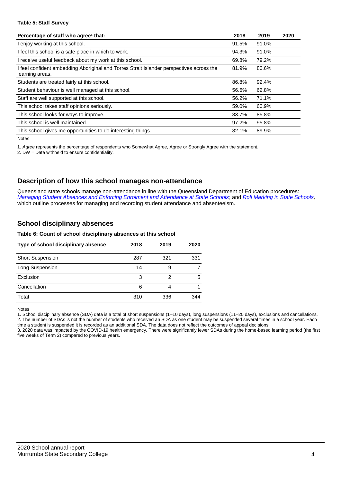#### **Table 5: Staff Survey**

| Percentage of staff who agree <sup>1</sup> that:                                                          | 2018  | 2019  | 2020 |
|-----------------------------------------------------------------------------------------------------------|-------|-------|------|
| I enjoy working at this school.                                                                           | 91.5% | 91.0% |      |
| I feel this school is a safe place in which to work.                                                      | 94.3% | 91.0% |      |
| receive useful feedback about my work at this school.                                                     | 69.8% | 79.2% |      |
| feel confident embedding Aboriginal and Torres Strait Islander perspectives across the<br>learning areas. | 81.9% | 80.6% |      |
| Students are treated fairly at this school.                                                               | 86.8% | 92.4% |      |
| Student behaviour is well managed at this school.                                                         | 56.6% | 62.8% |      |
| Staff are well supported at this school.                                                                  | 56.2% | 71.1% |      |
| This school takes staff opinions seriously.                                                               | 59.0% | 60.9% |      |
| This school looks for ways to improve.                                                                    | 83.7% | 85.8% |      |
| This school is well maintained.                                                                           | 97.2% | 95.8% |      |
| This school gives me opportunities to do interesting things.                                              | 82.1% | 89.9% |      |

Notes

1. *Agree* represents the percentage of respondents who Somewhat Agree, Agree or Strongly Agree with the statement.

2. DW = Data withheld to ensure confidentiality.

#### **Description of how this school manages non-attendance**

Queensland state schools manage non-attendance in line with the Queensland Department of Education procedures: *[Managing Student Absences and Enforcing Enrolment and Attendance at State Schools](https://ppr.qed.qld.gov.au/pp/managing-student-absences-and-enforcing-enrolment-and-attendance-at-state-schools-procedure)*; and *[Roll Marking in State Schools,](https://ppr.qed.qld.gov.au/pp/roll-marking-in-state-schools-procedure)* which outline processes for managing and recording student attendance and absenteeism.

### **School disciplinary absences**

#### **Table 6: Count of school disciplinary absences at this school**

| Type of school disciplinary absence | 2018 | 2019 | 2020 |
|-------------------------------------|------|------|------|
| <b>Short Suspension</b>             | 287  | 321  | 331  |
| Long Suspension                     | 14   |      |      |
| Exclusion                           | 3    | 2    | 5    |
| Cancellation                        | 6    | 4    |      |
| Total                               | 310  | 336  | 344  |

Notes

1. School disciplinary absence (SDA) data is a total of short suspensions (1–10 days), long suspensions (11–20 days), exclusions and cancellations. 2. The number of SDAs is not the number of students who received an SDA as one student may be suspended several times in a school year. Each

time a student is suspended it is recorded as an additional SDA. The data does not reflect the outcomes of appeal decisions. 3. 2020 data was impacted by the COVID-19 health emergency. There were significantly fewer SDAs during the home-based learning period (the first five weeks of Term 2) compared to previous years.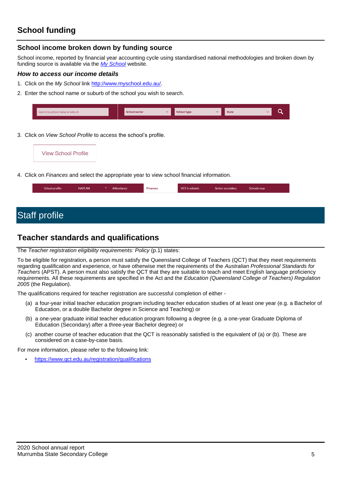## **School funding**

### **School income broken down by funding source**

School income, reported by financial year accounting cycle using standardised national methodologies and broken down by funding source is available via the *[My School](http://www.myschool.edu.au/)* website.

#### *How to access our income details*

- 1. Click on the *My School* link [http://www.myschool.edu.au/.](http://www.myschool.edu.au/)
- 2. Enter the school name or suburb of the school you wish to search.

| Search by school name or suburb | <b>School sector</b> | School type | <b>State</b> |  |
|---------------------------------|----------------------|-------------|--------------|--|
|                                 |                      |             |              |  |

3. Click on *View School Profile* to access the school's profile.



4. Click on *Finances* and select the appropriate year to view school financial information.

| School profile | <b>NAPLAN</b> | -- | Attendance | <b>Finances</b> | VET in schools | Senior secondary | Schools map |
|----------------|---------------|----|------------|-----------------|----------------|------------------|-------------|
|                |               |    |            |                 |                |                  |             |

## Staff profile

## **Teacher standards and qualifications**

The *Teacher registration eligibility requirements: Policy* (p.1) states:

To be eligible for registration, a person must satisfy the Queensland College of Teachers (QCT) that they meet requirements regarding qualification and experience, or have otherwise met the requirements of the *Australian Professional Standards for Teachers* (APST). A person must also satisfy the QCT that they are suitable to teach and meet English language proficiency requirements. All these requirements are specified in the Act and the *Education (Queensland College of Teachers) Regulation 2005* (the Regulation).

The qualifications required for teacher registration are successful completion of either -

- (a) a four-year initial teacher education program including teacher education studies of at least one year (e.g. a Bachelor of Education, or a double Bachelor degree in Science and Teaching) or
- (b) a one-year graduate initial teacher education program following a degree (e.g. a one-year Graduate Diploma of Education (Secondary) after a three-year Bachelor degree) or
- (c) another course of teacher education that the QCT is reasonably satisfied is the equivalent of (a) or (b). These are considered on a case-by-case basis.

For more information, please refer to the following link:

• <https://www.qct.edu.au/registration/qualifications>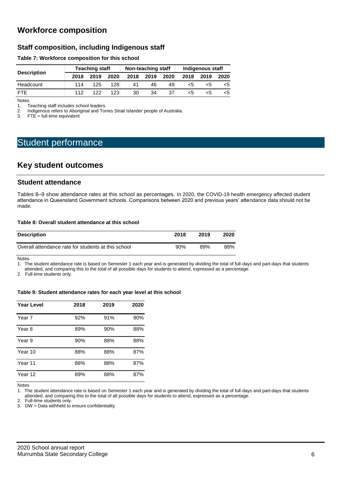## **Workforce composition**

## **Staff composition, including Indigenous staff**

#### **Table 7: Workforce composition for this school**

|                    |      | <b>Teaching staff</b> |      |      | Non-teaching staff |      | Indigenous staff |      |      |
|--------------------|------|-----------------------|------|------|--------------------|------|------------------|------|------|
| <b>Description</b> | 2018 | 2019                  | 2020 | 2018 | 2019               | 2020 | 2018             | 2019 | 2020 |
| Headcount          | 114  | 125                   | 128  | 41   | 46                 | 49   | כ>               | ה>   | <5   |
| <b>FTE</b>         | 112  | 122                   | 123  | 30   | 34                 | 37   | <5               |      | <5   |

Notes<br>1. T 1. Teaching staff includes school leaders.<br>2. Indigenous refers to Aboriginal and Tor

2. Indigenous refers to Aboriginal and Torres Strait Islander people of Australia.<br>3. FTE = full-time equivalent

 $FTE = full-time equivalent$ 

## Student performance

## **Key student outcomes**

#### **Student attendance**

Tables 8–9 show attendance rates at this school as percentages. In 2020, the COVID-19 health emergency affected student attendance in Queensland Government schools. Comparisons between 2020 and previous years' attendance data should not be made.

#### **Table 8: Overall student attendance at this school**

| <b>Description</b>                                  | 2018 | 2019 | 2020 |
|-----------------------------------------------------|------|------|------|
| Overall attendance rate for students at this school | 90%  | 89%  | 88%  |

Notes

1. The student attendance rate is based on Semester 1 each year and is generated by dividing the total of full-days and part-days that students attended, and comparing this to the total of all possible days for students to attend, expressed as a percentage.

2. Full-time students only.

**Table 9: Student attendance rates for each year level at this school**

| <b>Year Level</b> | 2018 | 2019 | 2020 |
|-------------------|------|------|------|
| Year 7            | 92%  | 91%  | 90%  |
| Year 8            | 89%  | 90%  | 88%  |
| Year 9            | 90%  | 88%  | 88%  |
| Year 10           | 88%  | 88%  | 87%  |
| Year 11           | 88%  | 88%  | 87%  |
| Year 12           | 89%  | 88%  | 87%  |

Notes

1. The student attendance rate is based on Semester 1 each year and is generated by dividing the total of full-days and part-days that students attended, and comparing this to the total of all possible days for students to attend, expressed as a percentage.

2. Full-time students only.

3. DW = Data withheld to ensure confidentiality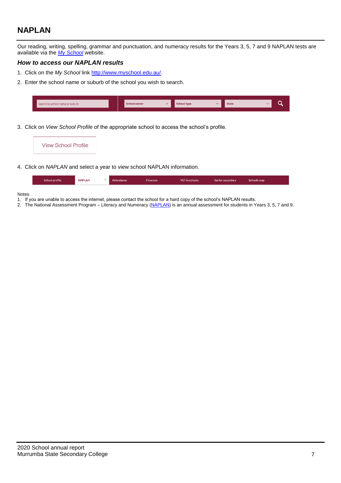## **NAPLAN**

Our reading, writing, spelling, grammar and punctuation, and numeracy results for the Years 3, 5, 7 and 9 NAPLAN tests are available via the *[My School](http://www.myschool.edu.au/)* website.

#### *How to access our NAPLAN results*

- 1. Click on the *My School* link [http://www.myschool.edu.au/.](http://www.myschool.edu.au/)
- 2. Enter the school name or suburb of the school you wish to search.

| Search by school name or suburb | <b>School sector</b> | <b>School type</b> | <b>State</b> |  |
|---------------------------------|----------------------|--------------------|--------------|--|
|                                 |                      |                    |              |  |

3. Click on *View School Profile* of the appropriate school to access the school's profile.

| <b>View School Profile</b>                                                                                                                                                                                                         |  |  |
|------------------------------------------------------------------------------------------------------------------------------------------------------------------------------------------------------------------------------------|--|--|
| $\mathcal{L}$ . The set of the set of the set of the set of the set of the set of the set of the set of the set of the set of the set of the set of the set of the set of the set of the set of the set of the set of the set of t |  |  |

4. Click on *NAPLAN* and select a year to view school NAPLAN information.

| School profile | <b>NAPLAN</b> | Attendance | <b>Finances</b> | <b>VET</b> in schools | Senior secondary | Schools map |
|----------------|---------------|------------|-----------------|-----------------------|------------------|-------------|
|                |               |            |                 |                       |                  |             |

#### Notes

- 1. If you are unable to access the internet, please contact the school for a hard copy of the school's NAPLAN results.
- 2. The National Assessment Program Literacy and Numeracy [\(NAPLAN\)](http://www.nap.edu.au/naplan) is an annual assessment for students in Years 3, 5, 7 and 9.